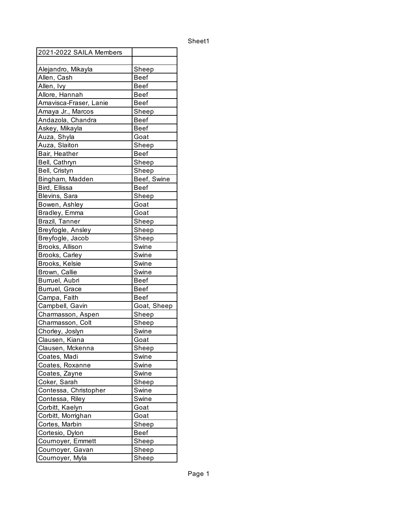| 2021-2022 SAILA Members            |                |
|------------------------------------|----------------|
|                                    |                |
| Alejandro, Mikayla                 | Sheep          |
| Allen, Cash                        | Beef           |
| Allen, Ivy                         | <b>Beef</b>    |
| Allore, Hannah                     | Beef           |
| Amavisca-Fraser, Lanie             | Beef           |
| Amaya Jr., Marcos                  | Sheep          |
| Andazola, Chandra                  | <b>Beef</b>    |
| Askey, Mikayla                     | <b>Beef</b>    |
| Auza, Shyla                        | Goat           |
| Auza, Slaiton                      | Sheep          |
| Bair, Heather                      | <b>Beef</b>    |
| Bell, Cathryn                      | Sheep          |
| Bell, Cristyn                      | Sheep          |
| Bingham, Madden                    | Beef, Swine    |
| Bird, Ellissa                      | <b>Beef</b>    |
| Blevins, Sara                      | Sheep          |
| Bowen, Ashley                      | Goat           |
| Bradley, Emma                      | Goat           |
| Brazil, Tanner                     | Sheep          |
| Breyfogle, Ansley                  | Sheep          |
| Breyfogle, Jacob                   | Sheep          |
| Brooks, Allison                    | Swine          |
| <b>Brooks, Carley</b>              | Swine          |
| Brooks, Kelsie                     | Swine          |
| Brown, Callie                      | Swine          |
| Burruel, Aubri                     | Beef           |
| Burruel, Grace                     | <b>Beef</b>    |
| Campa, Faith                       | Beef           |
| Campbell, Gavin                    | Goat, Sheep    |
| Charmasson, Aspen                  | Sheep          |
| Charmasson, Colt                   | Sheep          |
|                                    | Swine          |
| Chorley, Joslyn                    |                |
| Clausen, Kiana<br>Clausen, Mckenna | Goat           |
|                                    | Sheep<br>Swine |
| Coates, Madi                       |                |
| Coates, Roxanne                    | Swine          |
| Coates, Zayne                      | Swine          |
| Coker, Sarah                       | Sheep          |
| Contessa, Christopher              | Swine          |
| Contessa, Riley                    | Swine          |
| Corbitt, Kaelyn                    | Goat           |
| Corbitt, Morrighan                 | Goat           |
| Cortes, Marbin                     | Sheep          |
| Cortesio, Dylon                    | <b>Beef</b>    |
| Cournoyer, Emmett                  | Sheep          |
| Cournoyer, Gavan                   | Sheep          |
| Cournoyer, Myla                    | Sheep          |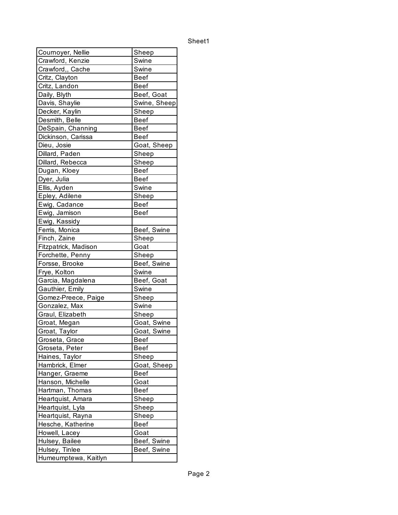| Cournoyer, Nellie    | Sheep                |
|----------------------|----------------------|
| Crawford, Kenzie     | Swine                |
| Crawford,, Cache     | Swine                |
| Critz, Clayton       | Beef                 |
| Critz, Landon        | <b>Beef</b>          |
| Daily, Blyth         | Beef, Goat           |
| Davis, Shaylie       | Swine, Sheep         |
| Decker, Kaylin       | Sheep                |
| Desmith, Belle       | <b>Beef</b>          |
| DeSpain, Channing    | <b>Beef</b>          |
| Dickinson, Carissa   | <b>Beef</b>          |
| Dieu, Josie          | Goat, Sheep          |
| Dillard, Paden       | Sheep                |
| Dillard, Rebecca     | Sheep                |
| Dugan, Kloey         | <b>Beef</b>          |
| Dyer, Julia          | <b>Beef</b>          |
| Ellis, Ayden         | Swine                |
| Epley, Adilene       | Sheep                |
| Ewig, Cadance        | <b>Beef</b>          |
| Ewig, Jamison        | <b>Beef</b>          |
| Ewig, Kassidy        |                      |
| Ferris, Monica       | Beef, Swine          |
| Finch, Zaine         | Sheep                |
| Fitzpatrick, Madison | Goat                 |
| Forchette, Penny     |                      |
|                      | Sheep<br>Beef, Swine |
| Forsse, Brooke       | Swine                |
| Frye, Kolton         |                      |
| Garcia, Magdalena    | Beef, Goat           |
| Gauthier, Emily      | Swine                |
| Gomez-Preece, Paige  | Sheep                |
| Gonzalez, Max        | Swine                |
| Graul, Elizabeth     | Sheep                |
| Groat, Megan         | Goat, Swine          |
| Groat, Taylor        | Goat, Swine          |
| Groseta, Grace       | Beef                 |
| Groseta, Peter       | <b>Beef</b>          |
| Haines, Taylor       | Sheep                |
| Hambrick, Elmer      | Goat, Sheep          |
| Hanger, Graeme       | <b>Beef</b>          |
| Hanson, Michelle     | Goat                 |
| Hartman, Thomas      | <b>Beef</b>          |
| Heartquist, Amara    | Sheep                |
| Heartquist, Lyla     | Sheep                |
| Heartquist, Rayna    | Sheep                |
| Hesche, Katherine    | <b>Beef</b>          |
| Howell, Lacey        | Goat                 |
| Hulsey, Bailee       | Beef, Swine          |
| Hulsey, Tinlee       | Beef, Swine          |
| Humeumptewa, Kaitlyn |                      |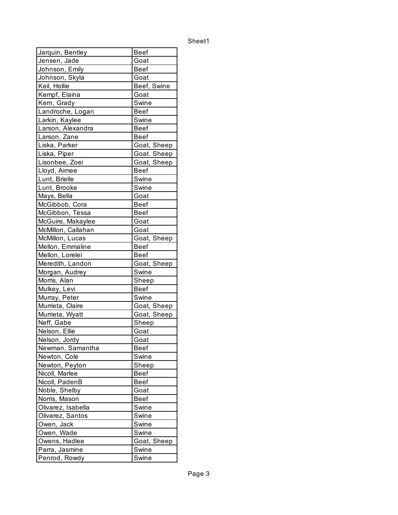| Jarquin, Bentley   | Beef        |
|--------------------|-------------|
| Jensen, Jade       | Goat        |
| Johnson, Emily     | Beef        |
| Johnson, Skyla     | Goat        |
| Keil, Hollie       | Beef, Swine |
| Kempf, Elaina      | Goat        |
| Kern, Grady        | Swine       |
| Landroche, Logan   | Beef        |
| Larkin, Kaylee     | Swine       |
| Larson, Alexandra  | Beef        |
| Larson, Zane       | <b>Beef</b> |
| Liska, Parker      | Goat, Sheep |
| Liska, Piper       | Goat. Sheep |
| Lisonbee, Zoei     | Goat, Sheep |
| Lloyd, Aimee       | Beef        |
| Lunt, Brielle      | Swine       |
| Lunt, Brooke       | Swine       |
| Mays, Bella        | Goat        |
| McGibbob, Cora     | Beef        |
| McGibbon, Tessa    | Beef        |
| McGuire, Makaylee  | Goat        |
| McMillon, Callahan | Goat        |
| McMillon, Lucas    | Goat, Sheep |
| Mellon, Emmaline   | Beef        |
| Mellon, Lorelei    | <b>Beef</b> |
| Meredith, Landon   | Goat, Sheep |
| Morgan, Audrey     | Swine       |
| Morris, Alan       | Sheep       |
| Mulkey, Levi       | <b>Beef</b> |
| Murray, Peter      | Swine       |
| Murrieta, Claire   | Goat, Sheep |
| Murrieta, Wyatt    | Goat, Sheep |
| Neff, Gabe         | Sheep       |
| Nelson, Ellie      | Goat        |
| INelson. Jordv     | Goat        |
| Newman, Samantha   | <b>Beef</b> |
| Newton, Cole       | Swine       |
| Newton, Peyton     | Sheep       |
| Nicoll, Marlee     | <b>Beef</b> |
| Nicoll, PadenB     | Beef        |
| Noble, Shelby      | Goat        |
| Norris, Mason      | <b>Beef</b> |
| Olivarez, Isabella | Swine       |
| Olivarez, Santos   | Swine       |
| Owen, Jack         | Swine       |
| Owen, Wade         | Swine       |
| Owens, Hadlee      | Goat, Sheep |
| Parra, Jasmine     | Swine       |
| Penrod, Rowdy      | Swine       |
|                    |             |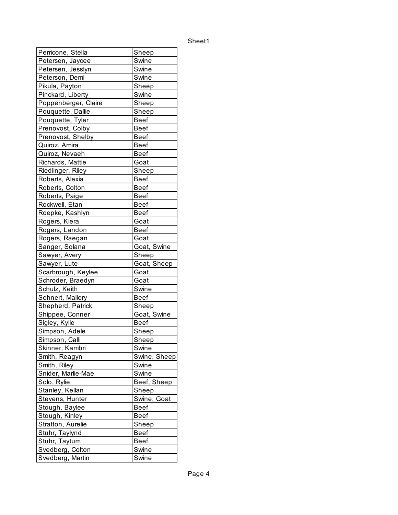| Perricone, Stella    | Sh <u>eep</u> |
|----------------------|---------------|
| Petersen, Jaycee     | Swine         |
| Petersen, Jesslyn    | Swine         |
| Peterson, Demi       | Swine         |
| Pikula, Payton       | Sheep         |
| Pinckard, Liberty    | Swine         |
| Poppenberger, Claire | Sheep         |
| Pouquette, Dallie    | Sheep         |
| Pouquette, Tyler     | <b>Beef</b>   |
| Prenovost, Colby     | <b>Beef</b>   |
| Prenovost, Shelby    | <b>Beef</b>   |
| Quiroz, Amira        | <b>Beef</b>   |
| Quiroz, Nevaeh       | <b>Beef</b>   |
| Richards, Mattie     | Goat          |
| Riedlinger, Riley    | Sheep         |
| Roberts, Alexia      | <b>Beef</b>   |
| Roberts, Colton      | <b>Beef</b>   |
| Roberts, Paige       | <b>Beef</b>   |
| Rockwell, Etan       | <b>Beef</b>   |
| Roepke, Kashlyn      | <b>Beef</b>   |
| Rogers, Kiera        | Goat          |
| Rogers, Landon       | <b>Beef</b>   |
| Rogers, Raegan       | Goat          |
| Sanger, Solana       | Goat, Swine   |
| Sawyer, Avery        | Sheep         |
| Sawyer, Lute         | Goat, Sheep   |
| Scarbrough, Keylee   | Goat          |
| Schroder, Braedyn    | Goat          |
| Schulz, Keith        | Swine         |
| Sehnert, Mallory     | <b>Beef</b>   |
| Shepherd, Patrick    | Sheep         |
| Shippee, Conner      | Goat, Swine   |
| Sigley, Kylie        | <b>Beef</b>   |
| Simpson, Adele       | Sheep         |
| Simpson, Calli       | Sheep         |
| Skinner, Kambri      | Swine         |
| Smith, Reagyn        | Swine, Sheep  |
| Smith, Riley         | Swine         |
| Snider, Marlie-Mae   | Swine         |
| Solo, Rylie          | Beef, Sheep   |
| Stanley, Kellan      | Sheep         |
| Stevens, Hunter      | Swine, Goat   |
| Stough, Baylee       | <b>Beef</b>   |
| Stough, Kinley       | <b>Beef</b>   |
| Stratton, Aurelie    | Sheep         |
| Stuhr, Taylynd       | <b>Beef</b>   |
| Stuhr, Taytum        | <b>Beef</b>   |
| Svedberg, Colton     | Swine         |
| Svedberg, Martin     | Swine         |
|                      |               |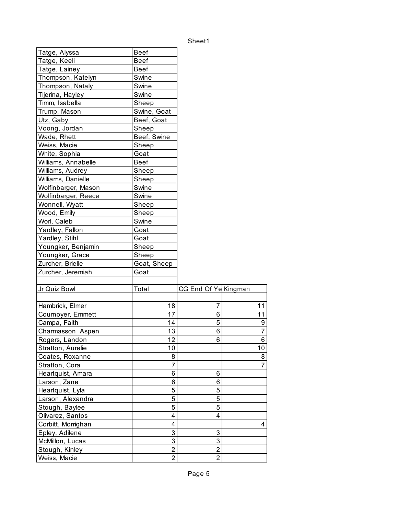| Tatge, Alyssa       | <b>Beef</b>    |                      |                |
|---------------------|----------------|----------------------|----------------|
| Tatge, Keeli        | <b>Beef</b>    |                      |                |
| Tatge, Lainey       | <b>Beef</b>    |                      |                |
| Thompson, Katelyn   | Swine          |                      |                |
| Thompson, Nataly    | Swine          |                      |                |
| Tijerina, Hayley    | Swine          |                      |                |
| Timm, Isabella      | Sheep          |                      |                |
| Trump, Mason        | Swine, Goat    |                      |                |
| Utz, Gaby           | Beef, Goat     |                      |                |
| Voong, Jordan       | Sheep          |                      |                |
| Wade, Rhett         | Beef, Swine    |                      |                |
| Weiss, Macie        | Sheep          |                      |                |
| White, Sophia       | Goat           |                      |                |
| Williams, Annabelle | <b>Beef</b>    |                      |                |
| Williams, Audrey    | Sheep          |                      |                |
| Williams, Danielle  | Sheep          |                      |                |
| Wolfinbarger, Mason | Swine          |                      |                |
| Wolfinbarger, Reece | Swine          |                      |                |
| Wonnell, Wyatt      | Sheep          |                      |                |
| Wood, Emily         | Sheep          |                      |                |
| Worl, Caleb         | Swine          |                      |                |
| Yardley, Fallon     | Goat           |                      |                |
| Yardley, Stihl      | Goat           |                      |                |
| Youngker, Benjamin  | Sheep          |                      |                |
| Youngker, Grace     | Sheep          |                      |                |
| Zurcher, Brielle    | Goat, Sheep    |                      |                |
| Zurcher, Jeremiah   | Goat           |                      |                |
|                     |                |                      |                |
| Jr Quiz Bowl        | Total          | CG End Of Ye Kingman |                |
| Hambrick, Elmer     | 18             | 7                    | 11             |
| Cournoyer, Emmett   | 17             | 6                    | 11             |
| Campa, Faith        | 14             | 5                    | 9              |
| Charmasson, Aspen   | 13             | 6                    | $\overline{7}$ |
| Rogers, Landon      | 12             | 6                    | 6              |
| Stratton, Aurelie   | 10             |                      | 10             |
| Coates, Roxanne     | 8              |                      | 8              |
| Stratton, Cora      | 7              |                      | 7              |
| Heartquist, Amara   | 6              | 6                    |                |
| Larson, Zane        | 6              | 6                    |                |
| Heartquist, Lyla    | 5              | 5                    |                |
| Larson, Alexandra   | 5              | 5                    |                |
| Stough, Baylee      | 5              | 5                    |                |
| Olivarez, Santos    | 4              | 4                    |                |
| Corbitt, Morrighan  | 4              |                      | 4              |
| Epley, Adilene      | 3              | 3                    |                |
| McMillon, Lucas     | 3              | 3                    |                |
| Stough, Kinley      | 2              | $\overline{2}$       |                |
| Weiss, Macie        | $\overline{2}$ | $\overline{2}$       |                |
|                     |                |                      |                |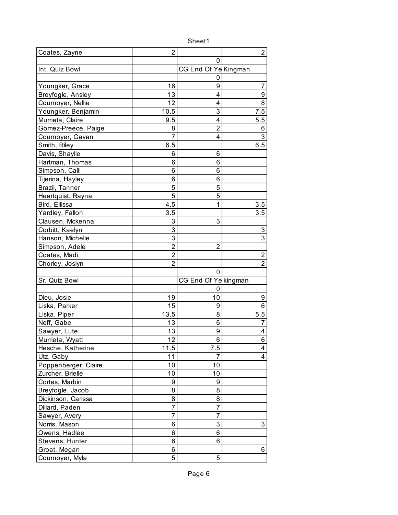| Coates, Zayne                   | 2                 |                      | 2                       |
|---------------------------------|-------------------|----------------------|-------------------------|
|                                 |                   | 0                    |                         |
| Int. Quiz Bowl                  |                   | CG End Of Ye Kingman |                         |
|                                 |                   | 0                    |                         |
| Youngker, Grace                 | 16                | 9                    | 7                       |
| Breyfogle, Ansley               | 13                | 4                    | $\overline{9}$          |
| Cournoyer, Nellie               | 12                | 4                    | 8                       |
| Youngker, Benjamin              | 10.5              | 3                    | 7.5                     |
| Murrieta, Claire                | 9.5               | 4                    | 5.5                     |
| Gomez-Preece, Paige             | 8                 | $\overline{2}$       | 6                       |
| Cournoyer, Gavan                | 7                 | 4                    | 3                       |
| Smith, Riley                    | 6.5               |                      | 6.5                     |
| Davis, Shaylie                  | 6                 | 6                    |                         |
| Hartman, Thomas                 | 6                 | 6                    |                         |
| Simpson, Calli                  | 6                 | 6                    |                         |
| Tijerina, Hayley                | 6                 | 6                    |                         |
| Brazil, Tanner                  | 5                 | 5                    |                         |
| Heartquist, Rayna               | 5                 | 5                    |                         |
| Bird, Ellissa                   | 4.5               | 1                    | 3.5                     |
| Yardley, Fallon                 | 3.5               |                      | 3.5                     |
| Clausen, Mckenna                | 3                 | 3                    |                         |
| Corbitt, Kaelyn                 | 3                 |                      | 3                       |
| Hanson, Michelle                | 3                 |                      | 3                       |
| Simpson, Adele                  | $\overline{2}$    | $\overline{2}$       |                         |
| Coates, Madi                    | $\overline{2}$    |                      | 2                       |
| Chorley, Joslyn                 | $\overline{2}$    |                      | $\overline{2}$          |
|                                 |                   | $\Omega$             |                         |
| Sr. Quiz Bowl                   |                   | CG End Of Ye kingman |                         |
|                                 |                   | 0                    |                         |
| Dieu, Josie                     | 19                | 10                   | 9                       |
| Liska, Parker                   | 15                | 9                    | 6                       |
| Liska, Piper                    | 13.5              | 8                    |                         |
| Neff, Gabe                      |                   |                      | 5.5                     |
|                                 | 13                | 6                    | 7                       |
| Sawyer, Lute                    | 13                | 9                    | 4                       |
| Murrieta, Wyatt                 | $12 \overline{ }$ | 6                    | 6                       |
| Hesche, Katherine               | 11.5              | 7.5                  | $\overline{\mathbf{4}}$ |
| Utz, Gaby                       | 11                | 7                    | 4                       |
| Poppenberger, Claire            | 10                | 10                   |                         |
| Zurcher, Brielle                | 10                | 10                   |                         |
| Cortes, Marbin                  | 9                 | 9                    |                         |
| Breyfogle, Jacob                | 8                 | 8                    |                         |
| Dickinson, Carissa              | 8                 | 8                    |                         |
| Dillard, Paden                  | 7                 | 7                    |                         |
| Sawyer, Avery                   | 7                 | 7                    |                         |
| Norris, Mason                   | 6                 | 3                    | 3                       |
| Owens, Hadlee                   | 6                 | 6                    |                         |
| Stevens, Hunter                 | 6                 | 6                    |                         |
| Groat, Megan<br>Cournoyer, Myla | 6<br>5            | 5                    | 6                       |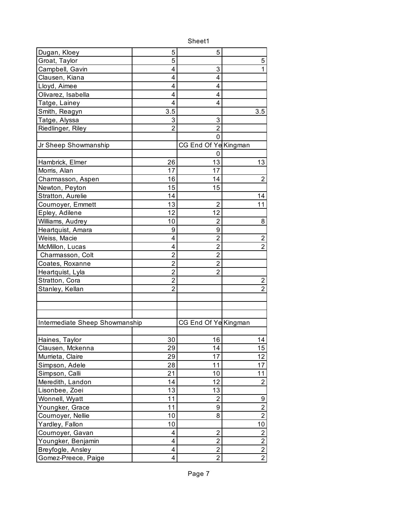| Dugan, Kloey                   | 5              | 5                         |                |
|--------------------------------|----------------|---------------------------|----------------|
| Groat, Taylor                  | 5              |                           | 5              |
| Campbell, Gavin                | 4              | 3                         | 1              |
| Clausen, Kiana                 | 4              | 4                         |                |
| Lloyd, Aimee                   | 4              | 4                         |                |
| Olivarez, Isabella             | 4              | 4                         |                |
| Tatge, Lainey                  | 4              | 4                         |                |
| Smith, Reagyn                  | 3.5            |                           | 3.5            |
| Tatge, Alyssa                  | 3              | $\ensuremath{\mathsf{3}}$ |                |
| Riedlinger, Riley              | $\overline{2}$ | $\overline{2}$            |                |
|                                |                | 0                         |                |
| Jr Sheep Showmanship           |                | CG End Of Ye Kingman      |                |
|                                |                | 0                         |                |
| Hambrick, Elmer                | 26             | 13                        | 13             |
| Morris, Alan                   | 17             | 17                        |                |
| Charmasson, Aspen              | 16             | 14                        | $\overline{2}$ |
| Newton, Peyton                 | 15             | 15                        |                |
| Stratton, Aurelie              | 14             |                           | 14             |
| Cournoyer, Emmett              | 13             | $\overline{2}$            | 11             |
| Epley, Adilene                 | 12             | 12                        |                |
| Williams, Audrey               | 10             | $\overline{2}$            | 8              |
| Heartquist, Amara              | 9              | 9                         |                |
| Weiss, Macie                   | 4              | 2                         | $\overline{c}$ |
| McMillon, Lucas                | 4              | $\overline{2}$            | $\overline{2}$ |
| Charmasson, Colt               | $\overline{2}$ | $\overline{2}$            |                |
| Coates, Roxanne                | $\overline{c}$ | 2                         |                |
| Heartquist, Lyla               | $\overline{2}$ | $\overline{2}$            |                |
| Stratton, Cora                 | $\overline{2}$ |                           | $\overline{2}$ |
| Stanley, Kellan                | 2              |                           | $\overline{2}$ |
|                                |                |                           |                |
|                                |                |                           |                |
|                                |                |                           |                |
| Intermediate Sheep Showmanship |                | CG End Of Ye Kingman      |                |
|                                |                |                           |                |
| Haines, Taylor                 | 30             | 16                        | 14             |
| Clausen, Mckenna               | 29             | 14                        | 15             |
| Murrieta, Claire               | 29             | 17                        | 12             |
| Simpson, Adele                 | 28             | 11                        | 17             |
| Simpson, Calli                 | 21             | 10                        | 11             |
| Meredith, Landon               | 14             | 12                        | $\overline{2}$ |
| Lisonbee, Zoei                 | 13             | 13                        |                |
| Wonnell, Wyatt                 | 11             | $\overline{2}$            | 9              |
| Youngker, Grace                | 11             | 9                         | $\overline{2}$ |
| Cournoyer, Nellie              | 10             | 8                         | $\overline{2}$ |
| Yardley, Fallon                | 10             |                           | 10             |
| Cournoyer, Gavan               | 4              | $\overline{2}$            | $\overline{2}$ |
| Youngker, Benjamin             | 4              | $\overline{2}$            | $\overline{2}$ |
| Breyfogle, Ansley              | 4              | $\overline{2}$            | $\overline{2}$ |
| Gomez-Preece, Paige            | 4              | $\overline{2}$            | $\overline{2}$ |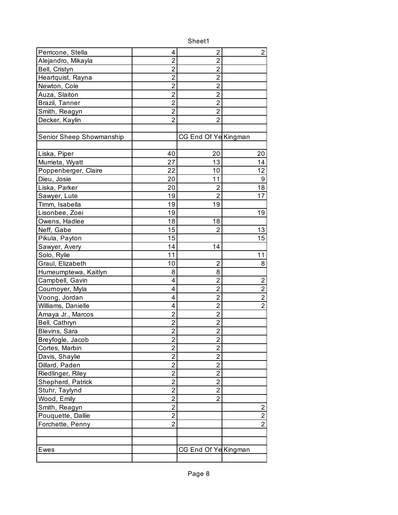| Perricone, Stella        | 4                       | $\overline{2}$       | 2              |
|--------------------------|-------------------------|----------------------|----------------|
| Alejandro, Mikayla       | $\overline{2}$          | $\overline{2}$       |                |
| Bell, Cristyn            | $\overline{2}$          | 2                    |                |
| Heartquist, Rayna        | 2                       | $\overline{2}$       |                |
| Newton, Cole             | $\overline{2}$          | $\overline{2}$       |                |
| Auza, Slaiton            | $\overline{2}$          | $\overline{2}$       |                |
| Brazil, Tanner           | $\overline{2}$          | $\overline{2}$       |                |
| Smith, Reagyn            | $\overline{2}$          | $\overline{2}$       |                |
| Decker, Kaylin           | $\overline{2}$          | $\overline{2}$       |                |
|                          |                         |                      |                |
| Senior Sheep Showmanship |                         | CG End Of Ye Kingman |                |
|                          |                         |                      |                |
| Liska, Piper             | 40                      | 20                   | 20             |
| Murrieta, Wyatt          | 27                      | 13                   | 14             |
| Poppenberger, Claire     | 22                      | 10                   | 12             |
| Dieu, Josie              | 20                      | 11                   | 9              |
| Liska, Parker            | 20                      | 2                    | 18             |
| Sawyer, Lute             | 19                      | $\overline{2}$       | 17             |
| Timm, Isabella           | 19                      | 19                   |                |
| Lisonbee, Zoei           | 19                      |                      | 19             |
| Owens, Hadlee            | 18                      | 18                   |                |
| Neff, Gabe               | 15                      | 2                    | 13             |
| Pikula, Payton           | 15                      |                      | 15             |
| Sawyer, Avery            | 14                      | 14                   |                |
| Solo, Rylie              | 11                      |                      | 11             |
| Graul, Elizabeth         | 10                      | $\overline{2}$       | 8              |
| Humeumptewa, Kaitlyn     | 8                       | 8                    |                |
| Campbell, Gavin          | 4                       | $\overline{c}$       | $\overline{c}$ |
| Cournoyer, Myla          | 4                       | $\overline{2}$       | $\overline{2}$ |
| Voong, Jordan            | 4                       | $\overline{2}$       | $\overline{2}$ |
| Williams, Danielle       | 4                       | $\overline{2}$       | $\overline{2}$ |
| Amaya Jr., Marcos        | $\overline{c}$          | $\overline{2}$       |                |
| Bell, Cathryn            | $\overline{c}$          | $\overline{2}$       |                |
| Blevins, Sara            | $\overline{2}$          | $\overline{c}$       |                |
| Breyfogle, Jacob         | $\overline{2}$          | $\overline{2}$       |                |
| Cortes, Marbin           | $\overline{2}$          | $\overline{2}$       |                |
| Davis, Shaylie           | 2                       | 2                    |                |
| Dillard, Paden           | $\overline{2}$          | $\overline{2}$       |                |
| Riedlinger, Riley        | $\overline{\mathbf{c}}$ | $\overline{2}$       |                |
| Shepherd, Patrick        | $\overline{c}$          | $\overline{2}$       |                |
| Stuhr, Taylynd           | $\overline{2}$          | $\overline{2}$       |                |
| Wood, Emily              | $\overline{\mathbf{c}}$ | $\overline{2}$       |                |
| Smith, Reagyn            | $\overline{\mathbf{c}}$ |                      | 2              |
| Pouquette, Dallie        | $\overline{2}$          |                      | $\overline{2}$ |
| Forchette, Penny         | $\overline{2}$          |                      | $\overline{2}$ |
|                          |                         |                      |                |
|                          |                         |                      |                |
| Ewes                     |                         | CG End Of Ye Kingman |                |
|                          |                         |                      |                |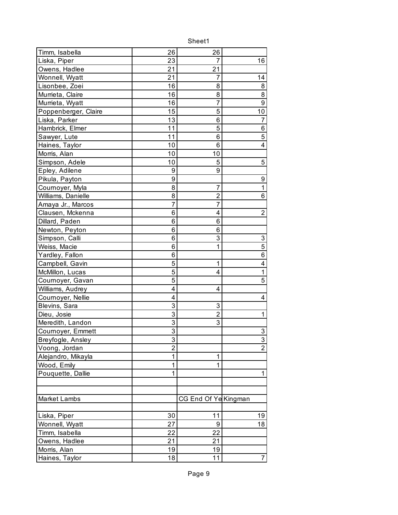| Timm, Isabella                | 26             | 26<br>7              | 16                      |
|-------------------------------|----------------|----------------------|-------------------------|
| Liska, Piper<br>Owens, Hadlee | 23<br>21       | 21                   |                         |
|                               | 21             | 7                    |                         |
| Wonnell, Wyatt                |                |                      | 14                      |
| Lisonbee, Zoei                | 16             | 8                    | 8<br>$\overline{8}$     |
| Murrieta, Claire              | 16             | 8<br>$\overline{7}$  | $\overline{9}$          |
| Murrieta, Wyatt               | 16             |                      |                         |
| Poppenberger, Claire          | 15             | 5                    | 10                      |
| Liska, Parker                 | 13             | 6                    | 7                       |
| Hambrick, Elmer               | 11             | 5                    | 6                       |
| Sawyer, Lute                  | 11             | 6                    | 5                       |
| Haines, Taylor                | 10             | 6                    | $\overline{\mathbf{4}}$ |
| Morris, Alan                  | 10             | 10                   |                         |
| Simpson, Adele                | 10             | 5                    | 5                       |
| Epley, Adilene                | 9              | 9                    |                         |
| Pikula, Payton                | 9              |                      | 9                       |
| Cournoyer, Myla               | 8              | 7                    | $\mathbf 1$             |
| Williams, Danielle            | 8              | $\overline{2}$       | $\overline{6}$          |
| Amaya Jr., Marcos             | $\overline{7}$ | $\overline{7}$       |                         |
| Clausen, Mckenna              | 6              | 4                    | $\overline{2}$          |
| Dillard, Paden                | 6              | 6                    |                         |
| Newton, Peyton                | 6              | 6                    |                         |
| Simpson, Calli                | 6              | 3                    | 3                       |
| Weiss, Macie                  | 6              | 1                    | $\overline{5}$          |
| Yardley, Fallon               | 6              |                      | $\overline{6}$          |
| Campbell, Gavin               | 5              | 1                    | 4                       |
| McMillon, Lucas               | 5              | 4                    | $\overline{1}$          |
| Cournoyer, Gavan              | 5              |                      | 5                       |
| Williams, Audrey              | 4              | 4                    |                         |
| Cournoyer, Nellie             | 4              |                      | 4                       |
| Blevins, Sara                 | 3              | 3                    |                         |
| Dieu, Josie                   | 3              | $\overline{2}$       | 1                       |
| Meredith, Landon              | 3              | 3                    |                         |
| Cournoyer, Emmett             | 3              |                      | 3                       |
| Breyfogle, Ansley             | 3              |                      | $\overline{3}$          |
| Voong, Jordan                 | $\overline{2}$ |                      | $\overline{2}$          |
| Alejandro, Mikayla            | $\mathbf 1$    | 1                    |                         |
| Wood, Emily                   | 1              | 1                    |                         |
| Pouquette, Dallie             | 1              |                      | 1                       |
|                               |                |                      |                         |
|                               |                |                      |                         |
| Market Lambs                  |                | CG End Of Ye Kingman |                         |
|                               |                |                      |                         |
| Liska, Piper                  | 30             | 11                   | 19                      |
| Wonnell, Wyatt                | 27             | 9                    | 18                      |
| Timm, Isabella                | 22             | 22                   |                         |
| Owens, Hadlee                 | 21             | 21                   |                         |
| Morris, Alan                  | 19             | 19                   |                         |
| Haines, Taylor                | 18             | 11                   | 7                       |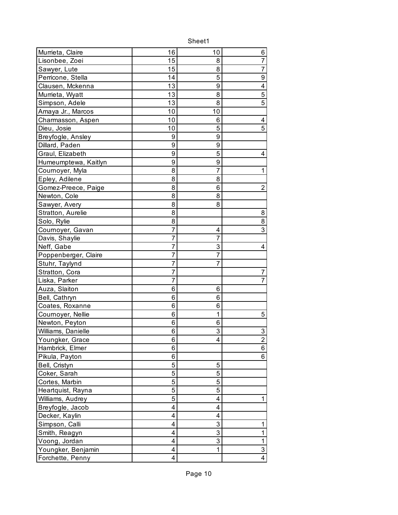| Murrieta, Claire     | 16 | 10 | 6              |
|----------------------|----|----|----------------|
| Lisonbee, Zoei       | 15 | 8  | 7              |
| Sawyer, Lute         | 15 | 8  | $\overline{7}$ |
| Perricone, Stella    | 14 | 5  | 9              |
| Clausen, Mckenna     | 13 | 9  | 4              |
| Murrieta, Wyatt      | 13 | 8  | $\overline{5}$ |
| Simpson, Adele       | 13 | 8  | $\overline{5}$ |
| Amaya Jr., Marcos    | 10 | 10 |                |
| Charmasson, Aspen    | 10 | 6  | 4              |
| Dieu, Josie          | 10 | 5  | 5              |
| Breyfogle, Ansley    | 9  | 9  |                |
| Dillard, Paden       | 9  | 9  |                |
| Graul, Elizabeth     | 9  | 5  | 4              |
| Humeumptewa, Kaitlyn | 9  | 9  |                |
| Cournoyer, Myla      | 8  | 7  | 1              |
| Epley, Adilene       | 8  | 8  |                |
| Gomez-Preece, Paige  | 8  | 6  | 2              |
| Newton, Cole         | 8  | 8  |                |
| Sawyer, Avery        | 8  | 8  |                |
| Stratton, Aurelie    | 8  |    | 8              |
| Solo, Rylie          | 8  |    | 8              |
| Cournoyer, Gavan     | 7  | 4  | 3              |
| Davis, Shaylie       | 7  | 7  |                |
| Neff, Gabe           | 7  | 3  | 4              |
| Poppenberger, Claire | 7  | 7  |                |
| Stuhr, Taylynd       | 7  | 7  |                |
| Stratton, Cora       | 7  |    | 7              |
| Liska, Parker        | 7  |    | 7              |
| Auza, Slaiton        | 6  | 6  |                |
| Bell, Cathryn        | 6  | 6  |                |
| Coates, Roxanne      | 6  | 6  |                |
| Cournoyer, Nellie    | 6  | 1  | 5              |
| Newton, Peyton       | 6  | 6  |                |
| Williams, Danielle   | 6  | 3  | 3              |
| Youngker, Grace      | 6  | 4  | $\overline{2}$ |
| Hambrick, Elmer      | 6  |    | 6              |
| Pikula, Payton       | 6  |    | 6              |
| Bell, Cristyn        | 5  | 5  |                |
| Coker, Sarah         | 5  | 5  |                |
| Cortes, Marbin       | 5  | 5  |                |
| Heartquist, Rayna    | 5  | 5  |                |
| Williams, Audrey     | 5  | 4  | 1              |
| Breyfogle, Jacob     | 4  | 4  |                |
| Decker, Kaylin       | 4  | 4  |                |
| Simpson, Calli       | 4  | 3  | 1              |
| Smith, Reagyn        | 4  | 3  | $\mathbf 1$    |
| Voong, Jordan        | 4  | 3  | $\overline{1}$ |
| Youngker, Benjamin   | 4  | 1  | $\overline{3}$ |
| Forchette, Penny     | 4  |    | $\overline{4}$ |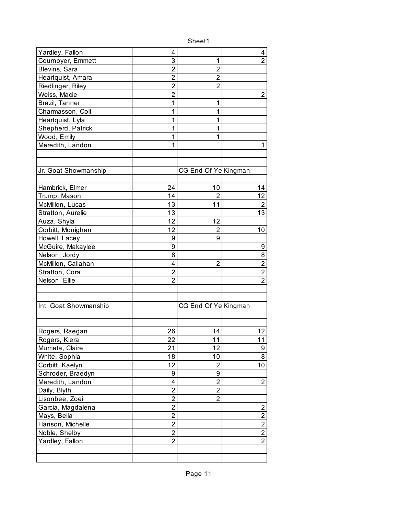| Yardley, Fallon       | 4              |                      | 4                       |
|-----------------------|----------------|----------------------|-------------------------|
| Cournoyer, Emmett     | 3              | 1                    | $\overline{2}$          |
| Blevins, Sara         | $\overline{2}$ | 2                    |                         |
| Heartquist, Amara     | $\overline{2}$ | $\overline{2}$       |                         |
| Riedlinger, Riley     | $\overline{2}$ | $\overline{2}$       |                         |
| Weiss, Macie          | $\overline{2}$ |                      | $\overline{2}$          |
| Brazil, Tanner        | 1              | 1                    |                         |
| Charmasson, Colt      | 1              | 1                    |                         |
| Heartquist, Lyla      | 1              | 1                    |                         |
| Shepherd, Patrick     | 1              | 1                    |                         |
| Wood, Emily           | 1              | 1                    |                         |
| Meredith, Landon      | 1              |                      | 1                       |
|                       |                |                      |                         |
|                       |                |                      |                         |
| Jr. Goat Showmanship  |                | CG End Of Ye Kingman |                         |
|                       |                |                      |                         |
| Hambrick, Elmer       | 24             | 10                   | 14                      |
| Trump, Mason          | 14             | $\overline{2}$       | 12                      |
| McMillon, Lucas       | 13             | 11                   | $\overline{2}$          |
| Stratton, Aurelie     | 13             |                      | 13                      |
| Auza, Shyla           | 12             | 12                   |                         |
| Corbitt, Morrighan    | 12             | $\overline{2}$       | 10                      |
| Howell, Lacey         | 9              | 9                    |                         |
| McGuire, Makaylee     | 9              |                      | 9                       |
| Nelson, Jordy         | 8              |                      | 8                       |
| McMillon, Callahan    | 4              | 2                    | $\overline{2}$          |
| Stratton, Cora        | 2              |                      | $\overline{2}$          |
| Nelson, Ellie         | $\overline{2}$ |                      | $\overline{2}$          |
|                       |                |                      |                         |
|                       |                |                      |                         |
| Int. Goat Showmanship |                | CG End Of Ye Kingman |                         |
|                       |                |                      |                         |
|                       |                |                      |                         |
| Rogers, Raegan        | 26             | 14                   | 12                      |
| Rogers, Kiera         | 22             | 11                   | 11                      |
| Murrieta, Claire      | 21             | 12                   | $\boldsymbol{9}$        |
| White, Sophia         | 18             | 10                   | 8                       |
| Corbitt, Kaelyn       | 12             | $\overline{2}$       | 10                      |
| Schroder, Braedyn     | 9              | 9                    |                         |
| Meredith, Landon      | 4              | $\overline{2}$       | $\overline{2}$          |
| Daily, Blyth          | 2              | $\overline{2}$       |                         |
| Lisonbee, Zoei        | $\overline{c}$ | $\overline{2}$       |                         |
| Garcia, Magdalena     | $\overline{c}$ |                      | $\overline{\mathbf{c}}$ |
| Mays, Bella           | 2              |                      | $\overline{2}$          |
| Hanson, Michelle      | 2              |                      | $\overline{2}$          |
| Noble, Shelby         | $\overline{2}$ |                      | $\overline{2}$          |
| Yardley, Fallon       | $\overline{2}$ |                      | $\overline{2}$          |
|                       |                |                      |                         |
|                       |                |                      |                         |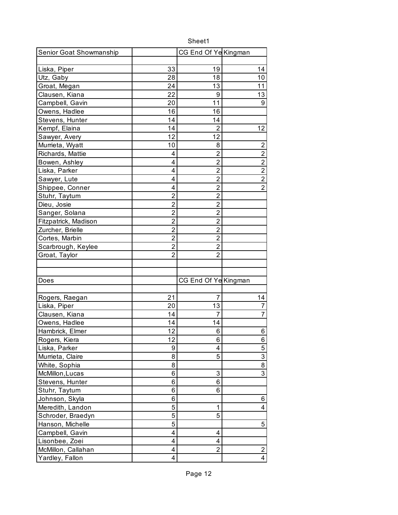| Sheet1                  |                |                      |                |
|-------------------------|----------------|----------------------|----------------|
| Senior Goat Showmanship |                | CG End Of Ye Kingman |                |
|                         |                |                      |                |
| Liska, Piper            | 33             | 19                   | 14             |
| Utz, Gaby               | 28             | 18                   | 10             |
| Groat, Megan            | 24             | 13                   | 11             |
| Clausen, Kiana          | 22             | 9                    | 13             |
| Campbell, Gavin         | 20             | 11                   | 9              |
| Owens, Hadlee           | 16             | 16                   |                |
| Stevens, Hunter         | 14             | 14                   |                |
| Kempf, Elaina           | 14             | $\overline{2}$       | 12             |
| Sawyer, Avery           | 12             | 12                   |                |
| Murrieta, Wyatt         | 10             | 8                    | $\overline{2}$ |
| Richards, Mattie        | 4              | $\overline{2}$       | $\overline{2}$ |
| Bowen, Ashley           | 4              | $\overline{2}$       | $\overline{2}$ |
| Liska, Parker           | 4              | $\overline{2}$       | $\overline{2}$ |
| Sawyer, Lute            | 4              | $\overline{2}$       | $\overline{2}$ |
| Shippee, Conner         | 4              | $\overline{2}$       | $\overline{2}$ |
| Stuhr, Taytum           | $\overline{2}$ | $\overline{2}$       |                |
| Dieu, Josie             | $\overline{2}$ | $\overline{2}$       |                |
| Sanger, Solana          | $\overline{2}$ | $\overline{2}$       |                |
| Fitzpatrick, Madison    | $\overline{2}$ | $\overline{2}$       |                |
| Zurcher, Brielle        | $\overline{2}$ | $\overline{c}$       |                |
| Cortes, Marbin          | $\overline{2}$ | $\overline{2}$       |                |
| Scarbrough, Keylee      | $\overline{2}$ | $\overline{2}$       |                |
| Groat, Taylor           | $\overline{c}$ | $\overline{2}$       |                |
|                         |                |                      |                |
|                         |                |                      |                |
| Does                    |                | CG End Of Ye Kingman |                |
|                         |                |                      |                |
| Rogers, Raegan          | 21             | 7                    | 14             |
| Liska, Piper            | 20             | 13                   | 7              |
| Clausen, Kiana          | 14             | 7                    | $\overline{7}$ |
| Owens, Hadlee           | 14             | 14                   |                |
| Hambrick, Elmer         | 12             | 6                    | 6              |
| Rogers, Kiera           | 12             | 6                    | 6              |
| Liska, Parker           | 9              | 4                    | 5              |
| Murrieta, Claire        | 8              | 5                    | $\overline{3}$ |
| White, Sophia           | 8              |                      | $\overline{8}$ |
| McMillon, Lucas         | 6              | 3                    | $\overline{3}$ |
| Stevens, Hunter         | 6              | 6                    |                |
| Stuhr, Taytum           | 6              | 6                    |                |
| Johnson, Skyla          | 6              |                      | 6              |
| Meredith, Landon        | 5              | 1                    | $\overline{4}$ |
| Schroder, Braedyn       | 5              | 5                    |                |
| Hanson, Michelle        | 5              |                      | 5              |
| Campbell, Gavin         | 4              | 4                    |                |
| Lisonbee, Zoei          | 4              | 4                    |                |
| McMillon, Callahan      | 4              | $\overline{2}$       | $\overline{c}$ |
| Yardley, Fallon         | 4              |                      | $\overline{4}$ |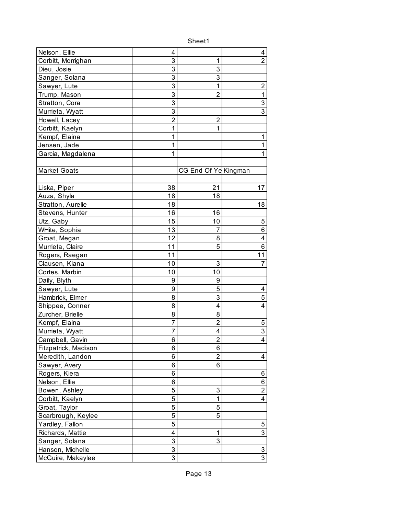| Nelson, Ellie        | 4              |                      | 4                       |
|----------------------|----------------|----------------------|-------------------------|
| Corbitt, Morrighan   | 3              | 1                    | $\overline{2}$          |
| Dieu, Josie          | 3              | 3                    |                         |
| Sanger, Solana       | 3              | 3                    |                         |
| Sawyer, Lute         | 3              | 1                    | $\overline{2}$          |
| Trump, Mason         | $\overline{3}$ | $\overline{2}$       | $\overline{1}$          |
| Stratton, Cora       | 3              |                      | 3                       |
| Murrieta, Wyatt      | 3              |                      | $\overline{3}$          |
| Howell, Lacey        | $\overline{2}$ | $\overline{2}$       |                         |
| Corbitt, Kaelyn      | 1              | 1                    |                         |
| Kempf, Elaina        | 1              |                      | 1                       |
| Jensen, Jade         | 1              |                      | $\mathbf 1$             |
| Garcia, Magdalena    | 1              |                      | 1                       |
|                      |                |                      |                         |
| <b>Market Goats</b>  |                | CG End Of Ye Kingman |                         |
|                      |                |                      |                         |
| Liska, Piper         | 38             | 21                   | 17                      |
| Auza, Shyla          | 18             | 18                   |                         |
| Stratton, Aurelie    | 18             |                      | 18                      |
| Stevens, Hunter      | 16             | 16                   |                         |
| Utz, Gaby            | 15             | 10                   | 5                       |
| WHite, Sophia        | 13             | 7                    | 6                       |
| Groat, Megan         | 12             | 8                    | 4                       |
| Murrieta, Claire     | 11             | 5                    | 6                       |
| Rogers, Raegan       | 11             |                      | 11                      |
| Clausen, Kiana       | 10             | 3                    | 7                       |
| Cortes, Marbin       | 10             | 10                   |                         |
| Daily, Blyth         | 9              | 9                    |                         |
| Sawyer, Lute         | 9              | 5                    | 4                       |
| Hambrick, Elmer      | 8              | 3                    | $\overline{5}$          |
| Shippee, Conner      | 8              | 4                    | $\overline{\mathbf{4}}$ |
| Zurcher, Brielle     | 8              | 8                    |                         |
| Kempf, Elaina        | 7              | $\overline{2}$       | 5                       |
| Murrieta, Wyatt      | 7              | 4                    | $\overline{3}$          |
| Campbell, Gavin      | 6              | $\overline{2}$       | 4                       |
| Fitzpatrick, Madison | 6              | 6                    |                         |
| Meredith, Landon     | 6              | 2                    | 4                       |
| Sawyer, Avery        | 6              | 6                    |                         |
| Rogers, Kiera        | 6              |                      | 6                       |
| Nelson, Ellie        | 6              |                      | 6                       |
| Bowen, Ashley        | 5              | 3                    | $\overline{2}$          |
| Corbitt, Kaelyn      | 5              | 1                    | $\overline{4}$          |
| Groat, Taylor        | 5              | 5                    |                         |
| Scarbrough, Keylee   | 5              | 5                    |                         |
| Yardley, Fallon      | 5              |                      | 5                       |
| Richards, Mattie     | 4              | 1                    | 3                       |
| Sanger, Solana       | 3              | 3                    |                         |
| Hanson, Michelle     | 3              |                      | $\overline{3}$          |
| McGuire, Makaylee    | $\overline{3}$ |                      | $\overline{3}$          |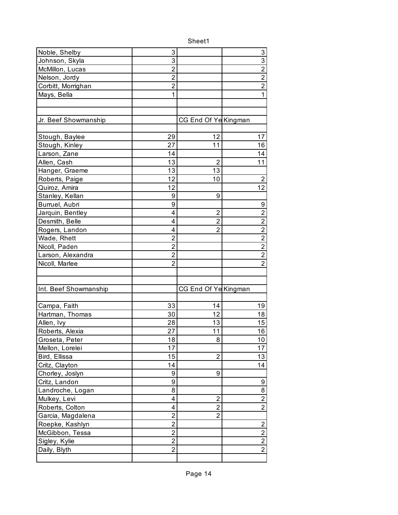| Noble, Shelby         | 3              |                      | 3                       |
|-----------------------|----------------|----------------------|-------------------------|
| Johnson, Skyla        | 3              |                      | 3                       |
| McMillon, Lucas       | $\overline{2}$ |                      | $\overline{2}$          |
| Nelson, Jordy         | $\overline{2}$ |                      | $\overline{2}$          |
| Corbitt, Morrighan    | 2              |                      | $\overline{2}$          |
| Mays, Bella           | 1              |                      | $\overline{1}$          |
|                       |                |                      |                         |
|                       |                |                      |                         |
| Jr. Beef Showmanship  |                | CG End Of Ye Kingman |                         |
|                       |                |                      |                         |
| Stough, Baylee        | 29             | 12                   | 17                      |
| Stough, Kinley        | 27             | 11                   | 16                      |
| Larson, Zane          | 14             |                      | 14                      |
| Allen, Cash           | 13             | 2                    | 11                      |
| Hanger, Graeme        | 13             | 13                   |                         |
| Roberts, Paige        | 12             | 10                   | $\overline{2}$          |
| Quiroz, Amira         | 12             |                      | 12                      |
| Stanley, Kellan       | 9              | 9                    |                         |
| Burruel, Aubri        | 9              |                      | 9                       |
| Jarquin, Bentley      | 4              | $\overline{2}$       | $\overline{2}$          |
| Desmith, Belle        | 4              | $\overline{2}$       | $\overline{2}$          |
| Rogers, Landon        | 4              | $\overline{2}$       | $\overline{2}$          |
| Wade, Rhett           | $\overline{2}$ |                      | $\overline{2}$          |
| Nicoll, Paden         | $\overline{2}$ |                      | $\overline{2}$          |
| Larson, Alexandra     | $\overline{2}$ |                      | $\overline{2}$          |
| Nicoll, Marlee        | 2              |                      | $\overline{2}$          |
|                       |                |                      |                         |
|                       |                |                      |                         |
| Int. Beef Showmanship |                | CG End Of Ye Kingman |                         |
|                       |                |                      |                         |
| Campa, Faith          | 33             | 14                   | 19                      |
| Hartman, Thomas       | 30             | 12                   | 18                      |
| Allen, Ivy            | 28             | 13                   | 15                      |
| Roberts, Alexia       | 27             | 11                   | 16                      |
| Groseta, Peter        | 18             | 8                    | 10                      |
| Mellon, Lorelei       | 17             |                      | 17                      |
| Bird, Ellissa         | 15             | $\overline{2}$       | 13                      |
| Critz, Clayton        | 14             |                      | 14                      |
| Chorley, Joslyn       | 9              | 9                    |                         |
| Critz, Landon         | 9              |                      | 9                       |
| Landroche, Logan      | 8              |                      | 8                       |
| Mulkey, Levi          | 4              | $\overline{2}$       | $\overline{2}$          |
| Roberts, Colton       | 4              | $\overline{2}$       | $\overline{2}$          |
| Garcia, Magdalena     | 2              | 2                    |                         |
| Roepke, Kashlyn       | $\overline{2}$ |                      | $\overline{\mathbf{c}}$ |
| McGibbon, Tessa       | $\overline{2}$ |                      | $\overline{2}$          |
| Sigley, Kylie         | 2              |                      | $\overline{2}$          |
| Daily, Blyth          | $\overline{2}$ |                      | $\overline{2}$          |
|                       |                |                      |                         |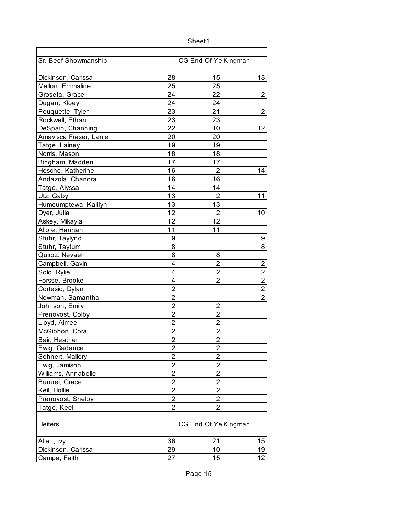| Sr. Beef Showmanship   |                | CG End Of Ye Kingman    |                         |
|------------------------|----------------|-------------------------|-------------------------|
|                        |                |                         |                         |
| Dickinson, Carissa     | 28             | 15                      | 13                      |
| Mellon, Emmaline       | 25             | 25                      |                         |
| Groseta, Grace         | 24             | 22                      | $\overline{2}$          |
| Dugan, Kloey           | 24             | 24                      |                         |
| Pouquette, Tyler       | 23             | 21                      | $\overline{2}$          |
| Rockwell, Ethan        | 23             | 23                      |                         |
| DeSpain, Channing      | 22             | 10                      | 12                      |
| Amavisca Fraser, Lanie | 20             | 20                      |                         |
| Tatge, Lainey          | 19             | 19                      |                         |
| Norris, Mason          | 18             | 18                      |                         |
| Bingham, Madden        | 17             | 17                      |                         |
| Hesche, Katherine      | 16             | 2                       | 14                      |
| Andazola, Chandra      | 16             | 16                      |                         |
| Tatge, Alyssa          | 14             | 14                      |                         |
| Utz, Gaby              | 13             | $\overline{2}$          | 11                      |
| Humeumptewa, Kaitlyn   | 13             | 13                      |                         |
| Dyer, Julia            | 12             | $\overline{2}$          | 10                      |
| Askey, Mikayla         | 12             | 12                      |                         |
| Allore, Hannah         | 11             | 11                      |                         |
| Stuhr, Taylynd         | 9              |                         | 9                       |
| Stuhr, Taytum          | 8              |                         | 8                       |
| Quiroz, Nevaeh         | 8              | 8                       |                         |
| Campbell, Gavin        | 4              | $\overline{2}$          | $\overline{c}$          |
| Solo, Rylie            | 4              | $\overline{2}$          | $\overline{2}$          |
| Forsse, Brooke         | 4              | $\overline{2}$          | $\overline{\mathbf{c}}$ |
| Cortesio, Dylan        | $\overline{2}$ |                         | $\overline{2}$          |
| Newman, Samantha       | $\overline{2}$ |                         | $\overline{2}$          |
| Johnson, Emily         | $\overline{2}$ | $\overline{2}$          |                         |
| Prenovost, Colby       | $\overline{2}$ | $\overline{2}$          |                         |
| Lloyd, Aimee           | $\overline{2}$ | 2                       |                         |
| McGibbon, Cora         | $\overline{c}$ | $\overline{2}$          |                         |
| Bair, Heather          | $\overline{2}$ | $\overline{2}$          |                         |
| Ewig, Cadance          | $\overline{2}$ | $\overline{2}$          |                         |
| Sehnert, Mallory       | $\overline{c}$ | $\overline{\mathbf{c}}$ |                         |
| Ewig, Jamison          | $\overline{2}$ | $\overline{2}$          |                         |
| Williams, Annabelle    | 2              | $\overline{2}$          |                         |
| Burruel, Grace         | 2              | $\overline{2}$          |                         |
| Keil, Hollie           | $\overline{2}$ | $\overline{2}$          |                         |
| Prenovost, Shelby      | $\overline{2}$ | $\overline{2}$          |                         |
| Tatge, Keeli           | $\overline{2}$ | $\overline{2}$          |                         |
|                        |                |                         |                         |
| Heifers                |                | CG End Of Ye Kingman    |                         |
|                        |                |                         |                         |
| Allen, Ivy             | 36             | 21                      | 15                      |
| Dickinson, Carissa     | 29             | 10                      | 19                      |
| Campa, Faith           | 27             | 15                      | 12                      |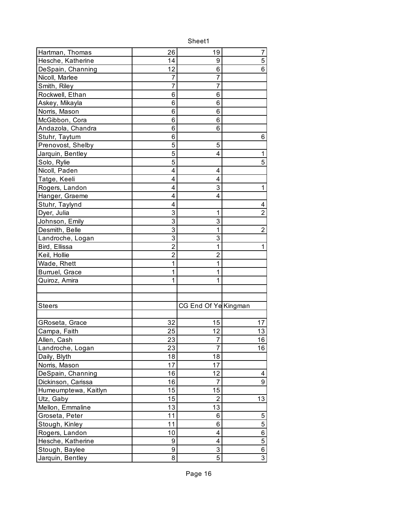| Hartman, Thomas      | 26             | 19                   | 7              |
|----------------------|----------------|----------------------|----------------|
| Hesche, Katherine    | 14             | 9                    | 5              |
| DeSpain, Channing    | 12             | 6                    | 6              |
| Nicoll, Marlee       | 7              | 7                    |                |
| Smith, Riley         | 7              | 7                    |                |
| Rockwell, Ethan      | 6              | 6                    |                |
| Askey, Mikayla       | 6              | 6                    |                |
| Norris, Mason        | 6              | 6                    |                |
| McGibbon, Cora       | 6              | 6                    |                |
| Andazola, Chandra    | 6              | 6                    |                |
| Stuhr, Taytum        | 6              |                      | 6              |
| Prenovost, Shelby    | 5              | 5                    |                |
| Jarquin, Bentley     | 5              | 4                    | 1              |
| Solo, Rylie          | 5              |                      | 5              |
| Nicoll, Paden        | 4              | 4                    |                |
| Tatge, Keeli         | 4              | 4                    |                |
| Rogers, Landon       | 4              | 3                    | 1              |
| Hanger, Graeme       | 4              | 4                    |                |
| Stuhr, Taylynd       | 4              |                      | 4              |
| Dyer, Julia          | 3              | 1                    | $\overline{2}$ |
| Johnson, Emily       | 3              | 3                    |                |
| Desmith, Belle       | 3              | 1                    | $\overline{2}$ |
| Landroche, Logan     | 3              | 3                    |                |
| Bird, Ellissa        | $\overline{2}$ | 1                    | 1              |
| Keil, Hollie         | $\overline{2}$ | $\overline{2}$       |                |
| Wade, Rhett          | 1              | 1                    |                |
| Burruel, Grace       | 1              | 1                    |                |
| Quiroz, Amira        | 1              | 1                    |                |
|                      |                |                      |                |
|                      |                |                      |                |
| <b>Steers</b>        |                | CG End Of Ye Kingman |                |
|                      |                |                      |                |
| GRoseta, Grace       | 32             | 15                   | 17             |
| Campa, Faith         | 25             | 12                   | 13             |
| Allen, Cash          | 23             | $\overline{7}$       | 16             |
| Landroche, Logan     | 23             | $\overline{7}$       | 16             |
| Daily, Blyth         | 18             | 18                   |                |
| Norris, Mason        | 17             | 17                   |                |
| DeSpain, Channing    | 16             | 12                   | 4              |
| Dickinson, Carissa   | 16             | $\overline{7}$       | 9              |
| Humeumptewa, Kaitlyn | 15             | 15                   |                |
| Utz, Gaby            | 15             | $\overline{2}$       | 13             |
| Mellon, Emmaline     | 13             | 13                   |                |
| Groseta, Peter       | 11             | 6                    | 5              |
| Stough, Kinley       | 11             | 6                    | $\overline{5}$ |
| Rogers, Landon       | 10             | 4                    | 6              |
| Hesche, Katherine    | 9              | 4                    | 5              |
| Stough, Baylee       | 9              | 3                    | $\overline{6}$ |
| Jarquin, Bentley     | 8              | 5                    | $\overline{3}$ |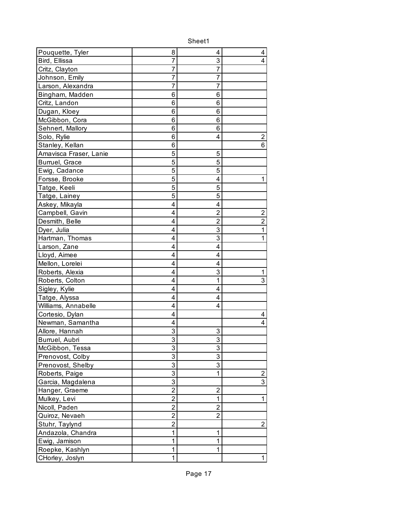| Pouquette, Tyler       | 8              | 4              | 4                |
|------------------------|----------------|----------------|------------------|
| Bird, Ellissa          | 7              | 3              | 4                |
| Critz, Clayton         | 7              | 7              |                  |
| Johnson, Emily         | 7              | 7              |                  |
| Larson, Alexandra      | 7              | 7              |                  |
| Bingham, Madden        | 6              | 6              |                  |
| Critz, Landon          | 6              | 6              |                  |
| Dugan, Kloey           | 6              | 6              |                  |
| McGibbon, Cora         | 6              | 6              |                  |
| Sehnert, Mallory       | 6              | 6              |                  |
| Solo, Rylie            | 6              | 4              | 2                |
| Stanley, Kellan        | 6              |                | 6                |
| Amavisca Fraser, Lanie | 5              | 5              |                  |
| Burruel, Grace         | 5              | 5              |                  |
| Ewig, Cadance          | 5              | 5              |                  |
| Forsse, Brooke         | 5              | 4              | 1                |
| Tatge, Keeli           | 5              | 5              |                  |
| Tatge, Lainey          | 5              | 5              |                  |
| Askey, Mikayla         | 4              | 4              |                  |
| Campbell, Gavin        | 4              | $\overline{2}$ | 2                |
| Desmith, Belle         | 4              | $\overline{2}$ | $\overline{2}$   |
| Dyer, Julia            | 4              | 3              | 1                |
| Hartman, Thomas        | 4              | 3              | 1                |
| Larson, Zane           | 4              | 4              |                  |
| Lloyd, Aimee           | 4              | 4              |                  |
| Mellon, Lorelei        | 4              | 4              |                  |
| Roberts, Alexia        | 4              | 3              | 1                |
| Roberts, Colton        | 4              | 1              | 3                |
| Sigley, Kylie          | 4              | 4              |                  |
| Tatge, Alyssa          | 4              | 4              |                  |
| Williams, Annabelle    | 4              | 4              |                  |
| Cortesio, Dylan        | 4              |                | 4                |
| Newman, Samantha       | 4              |                | 4                |
| Allore, Hannah         | 3              | 3              |                  |
| Burruel, Aubri         | 3              | 3              |                  |
| McGibbon, Tessa        | 3              | 3              |                  |
| Prenovost, Colby       | 3              | 3              |                  |
| Prenovost, Shelby      | 3              | 3              |                  |
| Roberts, Paige         | 3              | 1              | $\boldsymbol{2}$ |
| Garcia, Magdalena      | 3              |                | 3                |
| Hanger, Graeme         | $\overline{2}$ | $\overline{2}$ |                  |
| Mulkey, Levi           | $\overline{c}$ | 1              | $\mathbf 1$      |
| Nicoll, Paden          | $\mathbf{2}$   | $\overline{2}$ |                  |
| Quiroz, Nevaeh         | 2              | 2              |                  |
| Stuhr, Taylynd         | $\overline{c}$ |                | $\overline{2}$   |
| Andazola, Chandra      | 1              | 1              |                  |
| Ewig, Jamison          | 1              | 1              |                  |
| Roepke, Kashlyn        | 1              | 1              |                  |
| CHorley, Joslyn        | 1              |                | 1                |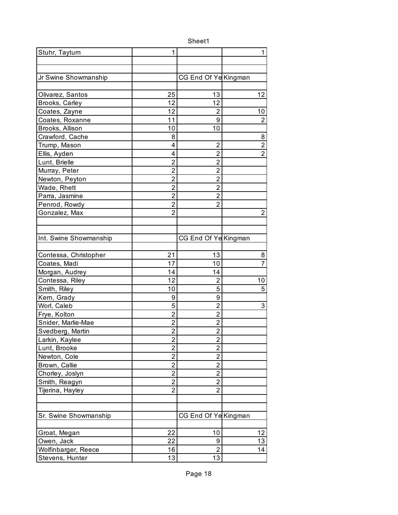| Stuhr, Taytum          | 1              |                      | 1              |
|------------------------|----------------|----------------------|----------------|
|                        |                |                      |                |
|                        |                |                      |                |
| Jr Swine Showmanship   |                | CG End Of Ye Kingman |                |
|                        |                |                      |                |
| Olivarez, Santos       | 25             | 13                   | 12             |
| Brooks, Carley         | 12             | 12                   |                |
| Coates, Zayne          | 12             | 2                    | 10             |
| Coates, Roxanne        | 11             | 9                    | $\overline{2}$ |
| Brooks, Allison        | 10             | 10                   |                |
| Crawford, Cache        | 8              |                      | 8              |
| Trump, Mason           | 4              | $\overline{2}$       | $\overline{2}$ |
| Ellis, Ayden           | 4              | $\overline{2}$       | $\overline{2}$ |
| Lunt, Brielle          | $\overline{2}$ | $\overline{2}$       |                |
| Murray, Peter          | $\overline{2}$ | $\overline{2}$       |                |
| Newton, Peyton         | $\overline{2}$ | $\overline{2}$       |                |
| Wade, Rhett            | $\overline{c}$ | $\overline{2}$       |                |
| Parra, Jasmine         | $\overline{2}$ | $\overline{2}$       |                |
| Penrod, Rowdy          | $\overline{2}$ | $\overline{2}$       |                |
| Gonzalez, Max          | $\overline{2}$ |                      | $\overline{c}$ |
|                        |                |                      |                |
|                        |                |                      |                |
| Int. Swine Showmanship |                | CG End Of Ye Kingman |                |
|                        |                |                      |                |
| Contessa, Christopher  | 21             | 13                   | 8              |
| Coates, Madi           | 17             | 10                   | $\overline{7}$ |
| Morgan, Audrey         | 14             | 14                   |                |
| Contessa, Riley        | 12             | $\overline{2}$       | 10             |
| Smith, Riley           | 10             | 5                    | 5              |
| Kern, Grady            | 9              | 9                    |                |
| Worl, Caleb            | 5              | $\overline{2}$       | 3              |
| Frye, Kolton           | $\overline{2}$ | $\overline{2}$       |                |
| Snider, Marlie-Mae     | $\overline{2}$ | $\overline{2}$       |                |
| Svedberg, Martin       | $\overline{c}$ | $\overline{2}$       |                |
| Larkin, Kaylee         | $\overline{2}$ | $\overline{2}$       |                |
| Lunt, Brooke           | $\overline{2}$ | $\overline{2}$       |                |
| Newton, Cole           | $\overline{c}$ | $\overline{2}$       |                |
| Brown, Callie          | $\overline{c}$ | $\overline{2}$       |                |
| Chorley, Joslyn        | 2              | $\overline{2}$       |                |
| Smith, Reagyn          | $\overline{2}$ | $\overline{2}$       |                |
| Tijerina, Hayley       | $\overline{2}$ | $\overline{2}$       |                |
|                        |                |                      |                |
|                        |                |                      |                |
| Sr. Swine Showmanship  |                | CG End Of Ye Kingman |                |
|                        |                |                      |                |
| Groat, Megan           | 22             | 10                   | 12             |
| Owen, Jack             | 22             | 9                    | 13             |
| Wolfinbarger, Reece    | 16             | $\overline{2}$       | 14             |
| Stevens, Hunter        | 13             | 13                   |                |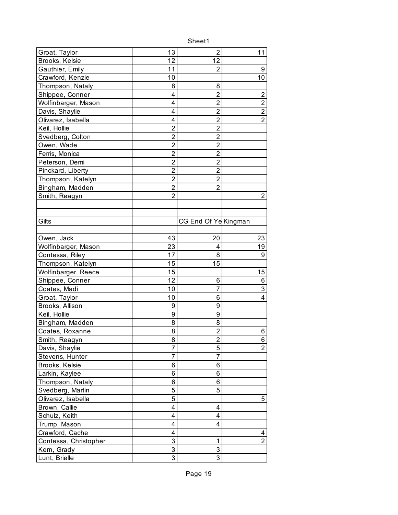| Groat, Taylor         | 13             | $\overline{2}$          | 11                      |
|-----------------------|----------------|-------------------------|-------------------------|
| Brooks, Kelsie        | 12             | 12                      |                         |
| Gauthier, Emily       | 11             | 2                       | 9                       |
| Crawford, Kenzie      | 10             |                         | 10                      |
| Thompson, Nataly      | 8              | 8                       |                         |
| Shippee, Conner       | 4              | $\overline{2}$          | $\overline{c}$          |
| Wolfinbarger, Mason   | 4              | $\overline{2}$          | $\overline{2}$          |
| Davis, Shaylie        | 4              | $\overline{2}$          | $\overline{\mathbf{c}}$ |
| Olivarez, Isabella    | 4              | $\overline{2}$          | $\overline{2}$          |
| Keil, Hollie          | $\overline{2}$ | $\overline{2}$          |                         |
| Svedberg, Colton      | $\overline{2}$ | $\overline{2}$          |                         |
| Owen, Wade            | $\overline{2}$ | $\overline{2}$          |                         |
| Ferris, Monica        | $\overline{2}$ | $\overline{2}$          |                         |
| Peterson, Demi        | $\overline{2}$ | $\overline{c}$          |                         |
| Pinckard, Liberty     | $\overline{2}$ | $\overline{2}$          |                         |
| Thompson, Katelyn     | $\overline{2}$ | $\overline{2}$          |                         |
| Bingham, Madden       | $\overline{2}$ | $\overline{2}$          |                         |
| Smith, Reagyn         | $\overline{2}$ |                         | 2                       |
|                       |                |                         |                         |
|                       |                |                         |                         |
| Gilts                 |                | CG End Of Ye Kingman    |                         |
|                       |                |                         |                         |
| Owen, Jack            | 43             | 20                      | 23                      |
| Wolfinbarger, Mason   | 23             | 4                       | 19                      |
| Contessa, Riley       | 17             | 8                       | 9                       |
| Thompson, Katelyn     | 15             | 15                      |                         |
| Wolfinbarger, Reece   | 15             |                         | 15                      |
| Shippee, Conner       | 12             | 6                       | 6                       |
| Coates, Madi          | 10             | 7                       | 3                       |
| Groat, Taylor         | 10             | 6                       | 4                       |
| Brooks, Allison       | 9              | 9                       |                         |
| Keil, Hollie          | 9              | 9                       |                         |
| Bingham, Madden       | 8              | 8                       |                         |
| Coates, Roxanne       | 8              | $\overline{2}$          | 6                       |
| Smith, Reagyn         | 8              | $\overline{\mathbf{c}}$ | 6                       |
| Davis, Shaylie        | 7              | 5                       | $\overline{2}$          |
| Stevens, Hunter       | 7              | $\overline{7}$          |                         |
| Brooks, Kelsie        | 6              | 6                       |                         |
| Larkin, Kaylee        | 6              | 6                       |                         |
| Thompson, Nataly      | 6              | 6                       |                         |
| Svedberg, Martin      | 5              | 5                       |                         |
| Olivarez, Isabella    | 5              |                         | 5                       |
| Brown, Callie         | 4              | 4                       |                         |
| Schulz, Keith         | 4              | 4                       |                         |
| Trump, Mason          | 4              | 4                       |                         |
| Crawford, Cache       | 4              |                         | 4                       |
| Contessa, Christopher | 3              | 1                       | $\overline{2}$          |
| Kern, Grady           | 3              | 3                       |                         |
| Lunt, Brielle         | $\overline{3}$ | $\overline{3}$          |                         |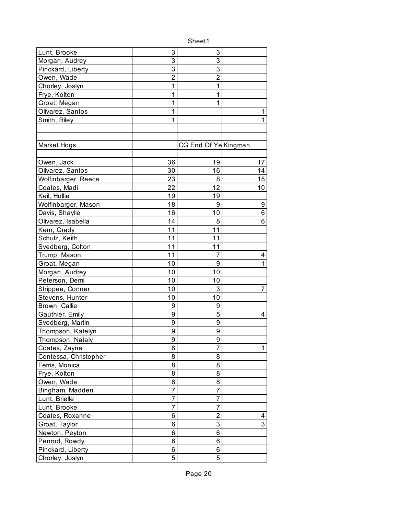| Lunt, Brooke          | 3  | 3                    |                |
|-----------------------|----|----------------------|----------------|
| Morgan, Audrey        | 3  | 3                    |                |
| Pinckard, Liberty     | 3  | 3                    |                |
| Owen, Wade            | 2  | $\overline{2}$       |                |
| Chorley, Joslyn       | 1  | 1                    |                |
| Frye, Kolton          | 1  | 1                    |                |
| Groat, Megan          | 1  | 1                    |                |
| Olivarez, Santos      | 1  |                      | 1              |
| Smith, Riley          | 1  |                      | 1              |
|                       |    |                      |                |
|                       |    |                      |                |
| Market Hogs           |    | CG End Of Ye Kingman |                |
|                       |    |                      |                |
| Owen, Jack            | 36 | 19                   | 17             |
| Olivarez, Santos      | 30 | 16                   | 14             |
| Wolfinbarger, Reece   | 23 | 8                    | 15             |
| Coates, Madi          | 22 | 12                   | 10             |
| Keil, Hollie          | 19 | 19                   |                |
| Wolfinbarger, Mason   | 18 | 9                    | 9              |
| Davis, Shaylie        | 16 | 10                   | 6              |
| Olivarez, Isabella    | 14 | 8                    | 6              |
| Kern, Grady           | 11 | 11                   |                |
| Schulz, Keith         | 11 | 11                   |                |
| Svedberg, Colton      | 11 | 11                   |                |
| Trump, Mason          | 11 | 7                    | 4              |
| Groat, Megan          | 10 | 9                    | 1              |
| Morgan, Audrey        | 10 | 10                   |                |
| Peterson, Demi        | 10 | 10                   |                |
| Shippee, Conner       | 10 | 3                    | $\overline{7}$ |
| Stevens, Hunter       | 10 | 10                   |                |
| Brown, Callie         | 9  | 9                    |                |
| Gauthier, Emily       | 9  | 5                    | 4              |
| Svedberg, Martin      | 9  | 9                    |                |
| Thompson, Katelyn     | 9  | 9                    |                |
| Thompson, Nataly      | 9  | 9                    |                |
| Coates, Zayne         | 8  | $\overline{7}$       | 1              |
| Contessa, Christopher | 8  | 8                    |                |
| Ferris, Monica        | 8  | 8                    |                |
| Frye, Kolton          | 8  | 8                    |                |
| Owen, Wade            | 8  | 8                    |                |
| Bingham, Madden       | 7  | $\overline{7}$       |                |
| Lunt, Brielle         | 7  | 7                    |                |
| Lunt, Brooke          | 7  | 7                    |                |
| Coates, Roxanne       | 6  | $\overline{2}$       | 4              |
| Groat, Taylor         | 6  | 3                    | 3              |
| Newton, Peyton        | 6  | 6                    |                |
| Penrod, Rowdy         | 6  | 6                    |                |
| Pinckard, Liberty     | 6  | 6                    |                |
| Chorley, Joslyn       | 5  | 5                    |                |